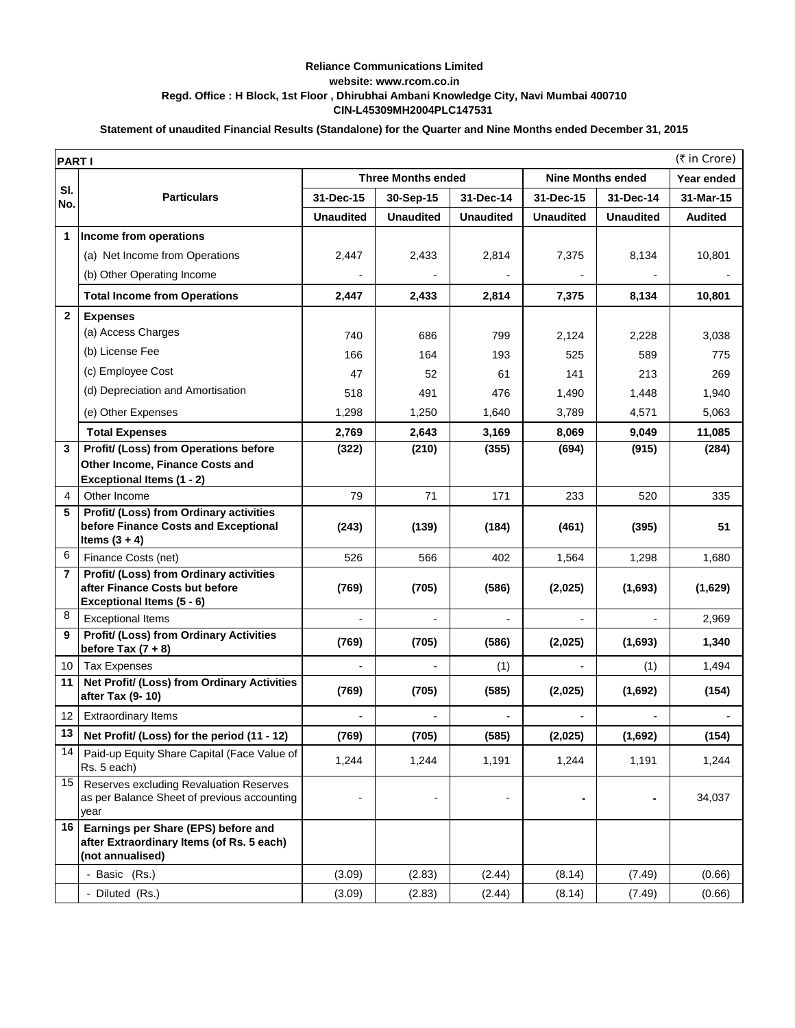## **CIN-L45309MH2004PLC147531 Reliance Communications Limited website: www.rcom.co.in Regd. Office : H Block, 1st Floor , Dhirubhai Ambani Knowledge City, Navi Mumbai 400710**

## **Statement of unaudited Financial Results (Standalone) for the Quarter and Nine Months ended December 31, 2015**

| <b>Three Months ended</b><br><b>Nine Months ended</b><br>Year ended<br>SI.<br><b>Particulars</b><br>31-Dec-15<br>31-Dec-14<br>31-Dec-15<br>31-Dec-14<br>31-Mar-15<br>30-Sep-15<br>No.<br><b>Unaudited</b><br><b>Unaudited</b><br><b>Unaudited</b><br><b>Unaudited</b><br><b>Unaudited</b><br><b>Audited</b><br>1<br>Income from operations<br>10,801<br>(a) Net Income from Operations<br>2,447<br>2,433<br>2,814<br>7,375<br>8,134<br>(b) Other Operating Income<br><b>Total Income from Operations</b><br>7,375<br>8,134<br>10,801<br>2,447<br>2,433<br>2,814<br>$\mathbf{2}$<br><b>Expenses</b><br>(a) Access Charges<br>740<br>799<br>3,038<br>686<br>2,124<br>2,228<br>(b) License Fee<br>775<br>166<br>164<br>193<br>525<br>589<br>(c) Employee Cost<br>47<br>213<br>269<br>52<br>61<br>141<br>(d) Depreciation and Amortisation<br>491<br>1,940<br>518<br>476<br>1,490<br>1,448<br>1,298<br>5,063<br>(e) Other Expenses<br>1,250<br>1,640<br>3,789<br>4,571<br>2,769<br>2,643<br>3,169<br>8,069<br>9,049<br>11,085<br><b>Total Expenses</b><br>Profit/ (Loss) from Operations before<br>(322)<br>(210)<br>(355)<br>(694)<br>(915)<br>(284)<br>3<br>Other Income, Finance Costs and<br><b>Exceptional Items (1 - 2)</b><br>79<br>Other Income<br>71<br>171<br>233<br>520<br>335<br>4<br>Profit/ (Loss) from Ordinary activities<br>5<br>before Finance Costs and Exceptional<br>51<br>(243)<br>(139)<br>(184)<br>(461)<br>(395)<br>Items $(3 + 4)$<br>6<br>Finance Costs (net)<br>526<br>566<br>402<br>1,564<br>1,298<br>1,680<br>Profit/ (Loss) from Ordinary activities<br>$\overline{\phantom{a}}$<br>after Finance Costs but before<br>(769)<br>(705)<br>(586)<br>(2,025)<br>(1,693)<br>(1,629)<br>Exceptional Items (5 - 6)<br>8<br><b>Exceptional Items</b><br>2,969<br><b>Profit/ (Loss) from Ordinary Activities</b><br>9<br>(769)<br>1,340<br>(705)<br>(586)<br>(2,025)<br>(1,693)<br>before Tax $(7 + 8)$<br>1,494<br>10<br><b>Tax Expenses</b><br>(1)<br>(1)<br>Net Profit/ (Loss) from Ordinary Activities<br>11<br>(1,692)<br>(769)<br>(705)<br>(585)<br>(2,025)<br>(154)<br>after Tax (9-10)<br><b>Extraordinary Items</b><br>12<br>13<br>Net Profit/ (Loss) for the period (11 - 12)<br>(769)<br>(705)<br>(585)<br>(2,025)<br>(1,692)<br>(154)<br>14<br>Paid-up Equity Share Capital (Face Value of<br>1,244<br>1,244<br>1,191<br>1,244<br>1,191<br>1,244<br>Rs. 5 each)<br>15<br>Reserves excluding Revaluation Reserves<br>as per Balance Sheet of previous accounting<br>34,037<br>$\blacksquare$<br>year<br>16<br>Earnings per Share (EPS) before and<br>after Extraordinary Items (of Rs. 5 each)<br>(not annualised) | (₹ in Crore)<br><b>PARTI</b> |               |        |        |        |        |        |        |  |
|-------------------------------------------------------------------------------------------------------------------------------------------------------------------------------------------------------------------------------------------------------------------------------------------------------------------------------------------------------------------------------------------------------------------------------------------------------------------------------------------------------------------------------------------------------------------------------------------------------------------------------------------------------------------------------------------------------------------------------------------------------------------------------------------------------------------------------------------------------------------------------------------------------------------------------------------------------------------------------------------------------------------------------------------------------------------------------------------------------------------------------------------------------------------------------------------------------------------------------------------------------------------------------------------------------------------------------------------------------------------------------------------------------------------------------------------------------------------------------------------------------------------------------------------------------------------------------------------------------------------------------------------------------------------------------------------------------------------------------------------------------------------------------------------------------------------------------------------------------------------------------------------------------------------------------------------------------------------------------------------------------------------------------------------------------------------------------------------------------------------------------------------------------------------------------------------------------------------------------------------------------------------------------------------------------------------------------------------------------------------------------------------------------------------------------------------------------------------------------------------------------------------------------------------------------------------------------------------------------------------------------------------------|------------------------------|---------------|--------|--------|--------|--------|--------|--------|--|
|                                                                                                                                                                                                                                                                                                                                                                                                                                                                                                                                                                                                                                                                                                                                                                                                                                                                                                                                                                                                                                                                                                                                                                                                                                                                                                                                                                                                                                                                                                                                                                                                                                                                                                                                                                                                                                                                                                                                                                                                                                                                                                                                                                                                                                                                                                                                                                                                                                                                                                                                                                                                                                                 |                              |               |        |        |        |        |        |        |  |
|                                                                                                                                                                                                                                                                                                                                                                                                                                                                                                                                                                                                                                                                                                                                                                                                                                                                                                                                                                                                                                                                                                                                                                                                                                                                                                                                                                                                                                                                                                                                                                                                                                                                                                                                                                                                                                                                                                                                                                                                                                                                                                                                                                                                                                                                                                                                                                                                                                                                                                                                                                                                                                                 |                              |               |        |        |        |        |        |        |  |
|                                                                                                                                                                                                                                                                                                                                                                                                                                                                                                                                                                                                                                                                                                                                                                                                                                                                                                                                                                                                                                                                                                                                                                                                                                                                                                                                                                                                                                                                                                                                                                                                                                                                                                                                                                                                                                                                                                                                                                                                                                                                                                                                                                                                                                                                                                                                                                                                                                                                                                                                                                                                                                                 |                              |               |        |        |        |        |        |        |  |
|                                                                                                                                                                                                                                                                                                                                                                                                                                                                                                                                                                                                                                                                                                                                                                                                                                                                                                                                                                                                                                                                                                                                                                                                                                                                                                                                                                                                                                                                                                                                                                                                                                                                                                                                                                                                                                                                                                                                                                                                                                                                                                                                                                                                                                                                                                                                                                                                                                                                                                                                                                                                                                                 |                              |               |        |        |        |        |        |        |  |
|                                                                                                                                                                                                                                                                                                                                                                                                                                                                                                                                                                                                                                                                                                                                                                                                                                                                                                                                                                                                                                                                                                                                                                                                                                                                                                                                                                                                                                                                                                                                                                                                                                                                                                                                                                                                                                                                                                                                                                                                                                                                                                                                                                                                                                                                                                                                                                                                                                                                                                                                                                                                                                                 |                              |               |        |        |        |        |        |        |  |
|                                                                                                                                                                                                                                                                                                                                                                                                                                                                                                                                                                                                                                                                                                                                                                                                                                                                                                                                                                                                                                                                                                                                                                                                                                                                                                                                                                                                                                                                                                                                                                                                                                                                                                                                                                                                                                                                                                                                                                                                                                                                                                                                                                                                                                                                                                                                                                                                                                                                                                                                                                                                                                                 |                              |               |        |        |        |        |        |        |  |
|                                                                                                                                                                                                                                                                                                                                                                                                                                                                                                                                                                                                                                                                                                                                                                                                                                                                                                                                                                                                                                                                                                                                                                                                                                                                                                                                                                                                                                                                                                                                                                                                                                                                                                                                                                                                                                                                                                                                                                                                                                                                                                                                                                                                                                                                                                                                                                                                                                                                                                                                                                                                                                                 |                              |               |        |        |        |        |        |        |  |
|                                                                                                                                                                                                                                                                                                                                                                                                                                                                                                                                                                                                                                                                                                                                                                                                                                                                                                                                                                                                                                                                                                                                                                                                                                                                                                                                                                                                                                                                                                                                                                                                                                                                                                                                                                                                                                                                                                                                                                                                                                                                                                                                                                                                                                                                                                                                                                                                                                                                                                                                                                                                                                                 |                              |               |        |        |        |        |        |        |  |
|                                                                                                                                                                                                                                                                                                                                                                                                                                                                                                                                                                                                                                                                                                                                                                                                                                                                                                                                                                                                                                                                                                                                                                                                                                                                                                                                                                                                                                                                                                                                                                                                                                                                                                                                                                                                                                                                                                                                                                                                                                                                                                                                                                                                                                                                                                                                                                                                                                                                                                                                                                                                                                                 |                              |               |        |        |        |        |        |        |  |
|                                                                                                                                                                                                                                                                                                                                                                                                                                                                                                                                                                                                                                                                                                                                                                                                                                                                                                                                                                                                                                                                                                                                                                                                                                                                                                                                                                                                                                                                                                                                                                                                                                                                                                                                                                                                                                                                                                                                                                                                                                                                                                                                                                                                                                                                                                                                                                                                                                                                                                                                                                                                                                                 |                              |               |        |        |        |        |        |        |  |
|                                                                                                                                                                                                                                                                                                                                                                                                                                                                                                                                                                                                                                                                                                                                                                                                                                                                                                                                                                                                                                                                                                                                                                                                                                                                                                                                                                                                                                                                                                                                                                                                                                                                                                                                                                                                                                                                                                                                                                                                                                                                                                                                                                                                                                                                                                                                                                                                                                                                                                                                                                                                                                                 |                              |               |        |        |        |        |        |        |  |
|                                                                                                                                                                                                                                                                                                                                                                                                                                                                                                                                                                                                                                                                                                                                                                                                                                                                                                                                                                                                                                                                                                                                                                                                                                                                                                                                                                                                                                                                                                                                                                                                                                                                                                                                                                                                                                                                                                                                                                                                                                                                                                                                                                                                                                                                                                                                                                                                                                                                                                                                                                                                                                                 |                              |               |        |        |        |        |        |        |  |
|                                                                                                                                                                                                                                                                                                                                                                                                                                                                                                                                                                                                                                                                                                                                                                                                                                                                                                                                                                                                                                                                                                                                                                                                                                                                                                                                                                                                                                                                                                                                                                                                                                                                                                                                                                                                                                                                                                                                                                                                                                                                                                                                                                                                                                                                                                                                                                                                                                                                                                                                                                                                                                                 |                              |               |        |        |        |        |        |        |  |
|                                                                                                                                                                                                                                                                                                                                                                                                                                                                                                                                                                                                                                                                                                                                                                                                                                                                                                                                                                                                                                                                                                                                                                                                                                                                                                                                                                                                                                                                                                                                                                                                                                                                                                                                                                                                                                                                                                                                                                                                                                                                                                                                                                                                                                                                                                                                                                                                                                                                                                                                                                                                                                                 |                              |               |        |        |        |        |        |        |  |
|                                                                                                                                                                                                                                                                                                                                                                                                                                                                                                                                                                                                                                                                                                                                                                                                                                                                                                                                                                                                                                                                                                                                                                                                                                                                                                                                                                                                                                                                                                                                                                                                                                                                                                                                                                                                                                                                                                                                                                                                                                                                                                                                                                                                                                                                                                                                                                                                                                                                                                                                                                                                                                                 |                              |               |        |        |        |        |        |        |  |
|                                                                                                                                                                                                                                                                                                                                                                                                                                                                                                                                                                                                                                                                                                                                                                                                                                                                                                                                                                                                                                                                                                                                                                                                                                                                                                                                                                                                                                                                                                                                                                                                                                                                                                                                                                                                                                                                                                                                                                                                                                                                                                                                                                                                                                                                                                                                                                                                                                                                                                                                                                                                                                                 |                              |               |        |        |        |        |        |        |  |
|                                                                                                                                                                                                                                                                                                                                                                                                                                                                                                                                                                                                                                                                                                                                                                                                                                                                                                                                                                                                                                                                                                                                                                                                                                                                                                                                                                                                                                                                                                                                                                                                                                                                                                                                                                                                                                                                                                                                                                                                                                                                                                                                                                                                                                                                                                                                                                                                                                                                                                                                                                                                                                                 |                              |               |        |        |        |        |        |        |  |
|                                                                                                                                                                                                                                                                                                                                                                                                                                                                                                                                                                                                                                                                                                                                                                                                                                                                                                                                                                                                                                                                                                                                                                                                                                                                                                                                                                                                                                                                                                                                                                                                                                                                                                                                                                                                                                                                                                                                                                                                                                                                                                                                                                                                                                                                                                                                                                                                                                                                                                                                                                                                                                                 |                              |               |        |        |        |        |        |        |  |
|                                                                                                                                                                                                                                                                                                                                                                                                                                                                                                                                                                                                                                                                                                                                                                                                                                                                                                                                                                                                                                                                                                                                                                                                                                                                                                                                                                                                                                                                                                                                                                                                                                                                                                                                                                                                                                                                                                                                                                                                                                                                                                                                                                                                                                                                                                                                                                                                                                                                                                                                                                                                                                                 |                              |               |        |        |        |        |        |        |  |
|                                                                                                                                                                                                                                                                                                                                                                                                                                                                                                                                                                                                                                                                                                                                                                                                                                                                                                                                                                                                                                                                                                                                                                                                                                                                                                                                                                                                                                                                                                                                                                                                                                                                                                                                                                                                                                                                                                                                                                                                                                                                                                                                                                                                                                                                                                                                                                                                                                                                                                                                                                                                                                                 |                              |               |        |        |        |        |        |        |  |
|                                                                                                                                                                                                                                                                                                                                                                                                                                                                                                                                                                                                                                                                                                                                                                                                                                                                                                                                                                                                                                                                                                                                                                                                                                                                                                                                                                                                                                                                                                                                                                                                                                                                                                                                                                                                                                                                                                                                                                                                                                                                                                                                                                                                                                                                                                                                                                                                                                                                                                                                                                                                                                                 |                              |               |        |        |        |        |        |        |  |
|                                                                                                                                                                                                                                                                                                                                                                                                                                                                                                                                                                                                                                                                                                                                                                                                                                                                                                                                                                                                                                                                                                                                                                                                                                                                                                                                                                                                                                                                                                                                                                                                                                                                                                                                                                                                                                                                                                                                                                                                                                                                                                                                                                                                                                                                                                                                                                                                                                                                                                                                                                                                                                                 |                              |               |        |        |        |        |        |        |  |
|                                                                                                                                                                                                                                                                                                                                                                                                                                                                                                                                                                                                                                                                                                                                                                                                                                                                                                                                                                                                                                                                                                                                                                                                                                                                                                                                                                                                                                                                                                                                                                                                                                                                                                                                                                                                                                                                                                                                                                                                                                                                                                                                                                                                                                                                                                                                                                                                                                                                                                                                                                                                                                                 |                              |               |        |        |        |        |        |        |  |
|                                                                                                                                                                                                                                                                                                                                                                                                                                                                                                                                                                                                                                                                                                                                                                                                                                                                                                                                                                                                                                                                                                                                                                                                                                                                                                                                                                                                                                                                                                                                                                                                                                                                                                                                                                                                                                                                                                                                                                                                                                                                                                                                                                                                                                                                                                                                                                                                                                                                                                                                                                                                                                                 |                              |               |        |        |        |        |        |        |  |
|                                                                                                                                                                                                                                                                                                                                                                                                                                                                                                                                                                                                                                                                                                                                                                                                                                                                                                                                                                                                                                                                                                                                                                                                                                                                                                                                                                                                                                                                                                                                                                                                                                                                                                                                                                                                                                                                                                                                                                                                                                                                                                                                                                                                                                                                                                                                                                                                                                                                                                                                                                                                                                                 |                              |               |        |        |        |        |        |        |  |
|                                                                                                                                                                                                                                                                                                                                                                                                                                                                                                                                                                                                                                                                                                                                                                                                                                                                                                                                                                                                                                                                                                                                                                                                                                                                                                                                                                                                                                                                                                                                                                                                                                                                                                                                                                                                                                                                                                                                                                                                                                                                                                                                                                                                                                                                                                                                                                                                                                                                                                                                                                                                                                                 |                              |               |        |        |        |        |        |        |  |
|                                                                                                                                                                                                                                                                                                                                                                                                                                                                                                                                                                                                                                                                                                                                                                                                                                                                                                                                                                                                                                                                                                                                                                                                                                                                                                                                                                                                                                                                                                                                                                                                                                                                                                                                                                                                                                                                                                                                                                                                                                                                                                                                                                                                                                                                                                                                                                                                                                                                                                                                                                                                                                                 |                              |               |        |        |        |        |        |        |  |
|                                                                                                                                                                                                                                                                                                                                                                                                                                                                                                                                                                                                                                                                                                                                                                                                                                                                                                                                                                                                                                                                                                                                                                                                                                                                                                                                                                                                                                                                                                                                                                                                                                                                                                                                                                                                                                                                                                                                                                                                                                                                                                                                                                                                                                                                                                                                                                                                                                                                                                                                                                                                                                                 |                              |               |        |        |        |        |        |        |  |
|                                                                                                                                                                                                                                                                                                                                                                                                                                                                                                                                                                                                                                                                                                                                                                                                                                                                                                                                                                                                                                                                                                                                                                                                                                                                                                                                                                                                                                                                                                                                                                                                                                                                                                                                                                                                                                                                                                                                                                                                                                                                                                                                                                                                                                                                                                                                                                                                                                                                                                                                                                                                                                                 |                              |               |        |        |        |        |        |        |  |
|                                                                                                                                                                                                                                                                                                                                                                                                                                                                                                                                                                                                                                                                                                                                                                                                                                                                                                                                                                                                                                                                                                                                                                                                                                                                                                                                                                                                                                                                                                                                                                                                                                                                                                                                                                                                                                                                                                                                                                                                                                                                                                                                                                                                                                                                                                                                                                                                                                                                                                                                                                                                                                                 |                              |               |        |        |        |        |        |        |  |
|                                                                                                                                                                                                                                                                                                                                                                                                                                                                                                                                                                                                                                                                                                                                                                                                                                                                                                                                                                                                                                                                                                                                                                                                                                                                                                                                                                                                                                                                                                                                                                                                                                                                                                                                                                                                                                                                                                                                                                                                                                                                                                                                                                                                                                                                                                                                                                                                                                                                                                                                                                                                                                                 |                              |               |        |        |        |        |        |        |  |
|                                                                                                                                                                                                                                                                                                                                                                                                                                                                                                                                                                                                                                                                                                                                                                                                                                                                                                                                                                                                                                                                                                                                                                                                                                                                                                                                                                                                                                                                                                                                                                                                                                                                                                                                                                                                                                                                                                                                                                                                                                                                                                                                                                                                                                                                                                                                                                                                                                                                                                                                                                                                                                                 |                              |               |        |        |        |        |        |        |  |
|                                                                                                                                                                                                                                                                                                                                                                                                                                                                                                                                                                                                                                                                                                                                                                                                                                                                                                                                                                                                                                                                                                                                                                                                                                                                                                                                                                                                                                                                                                                                                                                                                                                                                                                                                                                                                                                                                                                                                                                                                                                                                                                                                                                                                                                                                                                                                                                                                                                                                                                                                                                                                                                 |                              | - Basic (Rs.) | (3.09) | (2.83) | (2.44) | (8.14) | (7.49) | (0.66) |  |
| - Diluted (Rs.)<br>(3.09)<br>(8.14)<br>(0.66)<br>(2.83)<br>(2.44)<br>(7.49)                                                                                                                                                                                                                                                                                                                                                                                                                                                                                                                                                                                                                                                                                                                                                                                                                                                                                                                                                                                                                                                                                                                                                                                                                                                                                                                                                                                                                                                                                                                                                                                                                                                                                                                                                                                                                                                                                                                                                                                                                                                                                                                                                                                                                                                                                                                                                                                                                                                                                                                                                                     |                              |               |        |        |        |        |        |        |  |